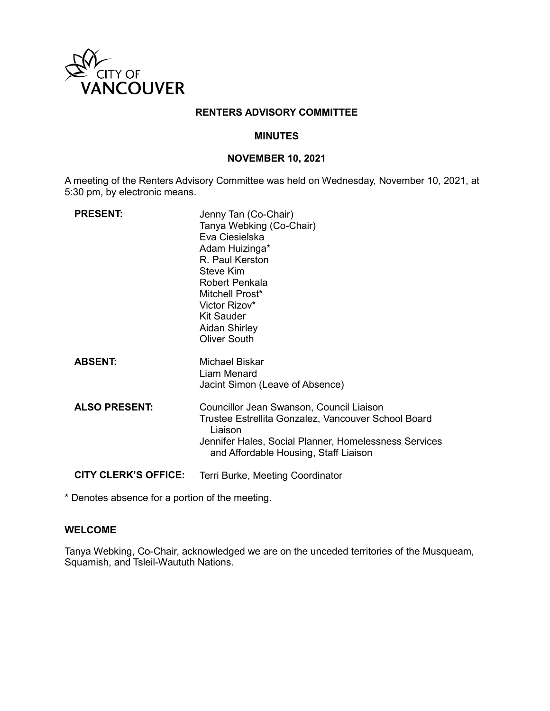

## **RENTERS ADVISORY COMMITTEE**

## **MINUTES**

## **NOVEMBER 10, 2021**

A meeting of the Renters Advisory Committee was held on Wednesday, November 10, 2021, at 5:30 pm, by electronic means.

| <b>PRESENT:</b>             | Jenny Tan (Co-Chair)<br>Tanya Webking (Co-Chair)<br>Eva Ciesielska<br>Adam Huizinga*<br>R. Paul Kerston<br>Steve Kim<br>Robert Penkala<br>Mitchell Prost*<br>Victor Rizov*<br>Kit Sauder<br>Aidan Shirley<br><b>Oliver South</b> |
|-----------------------------|----------------------------------------------------------------------------------------------------------------------------------------------------------------------------------------------------------------------------------|
| <b>ABSENT:</b>              | Michael Biskar<br>Liam Menard<br>Jacint Simon (Leave of Absence)                                                                                                                                                                 |
| <b>ALSO PRESENT:</b>        | Councillor Jean Swanson, Council Liaison<br>Trustee Estrellita Gonzalez, Vancouver School Board<br>Liaison<br>Jennifer Hales, Social Planner, Homelessness Services<br>and Affordable Housing, Staff Liaison                     |
| <b>CITY CLERK'S OFFICE:</b> | Terri Burke, Meeting Coordinator                                                                                                                                                                                                 |

\* Denotes absence for a portion of the meeting.

## **WELCOME**

Tanya Webking, Co-Chair, acknowledged we are on the unceded territories of the Musqueam, Squamish, and Tsleil-Waututh Nations.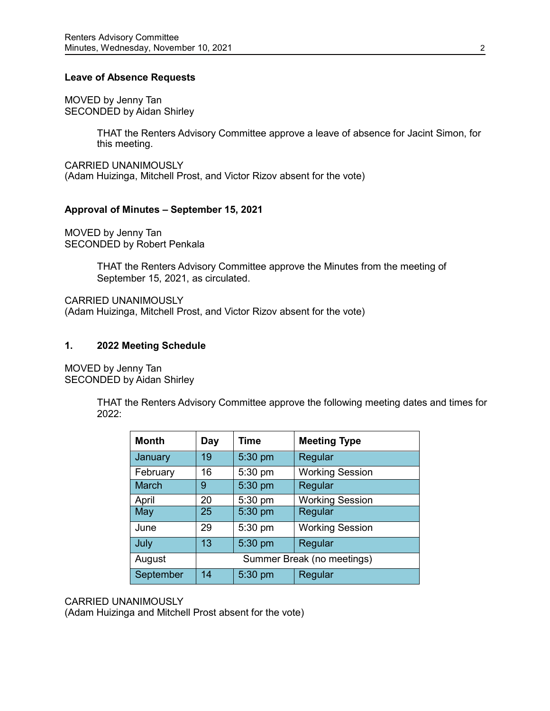## **Leave of Absence Requests**

MOVED by Jenny Tan SECONDED by Aidan Shirley

> THAT the Renters Advisory Committee approve a leave of absence for Jacint Simon, for this meeting.

CARRIED UNANIMOUSLY (Adam Huizinga, Mitchell Prost, and Victor Rizov absent for the vote)

## **Approval of Minutes – September 15, 2021**

MOVED by Jenny Tan SECONDED by Robert Penkala

> THAT the Renters Advisory Committee approve the Minutes from the meeting of September 15, 2021, as circulated.

CARRIED UNANIMOUSLY (Adam Huizinga, Mitchell Prost, and Victor Rizov absent for the vote)

## **1. 2022 Meeting Schedule**

MOVED by Jenny Tan SECONDED by Aidan Shirley

> THAT the Renters Advisory Committee approve the following meeting dates and times for 2022:

| <b>Month</b> | Day                        | <b>Time</b> | <b>Meeting Type</b>    |
|--------------|----------------------------|-------------|------------------------|
| January      | 19                         | 5:30 pm     | Regular                |
| February     | 16                         | 5:30 pm     | <b>Working Session</b> |
| <b>March</b> | 9                          | 5:30 pm     | Regular                |
| April        | 20                         | 5:30 pm     | <b>Working Session</b> |
| May          | 25                         | 5:30 pm     | Regular                |
| June         | 29                         | 5:30 pm     | <b>Working Session</b> |
| July         | 13                         | 5:30 pm     | Regular                |
| August       | Summer Break (no meetings) |             |                        |
| September    | 14                         | 5:30 pm     | Regular                |

## CARRIED UNANIMOUSLY

(Adam Huizinga and Mitchell Prost absent for the vote)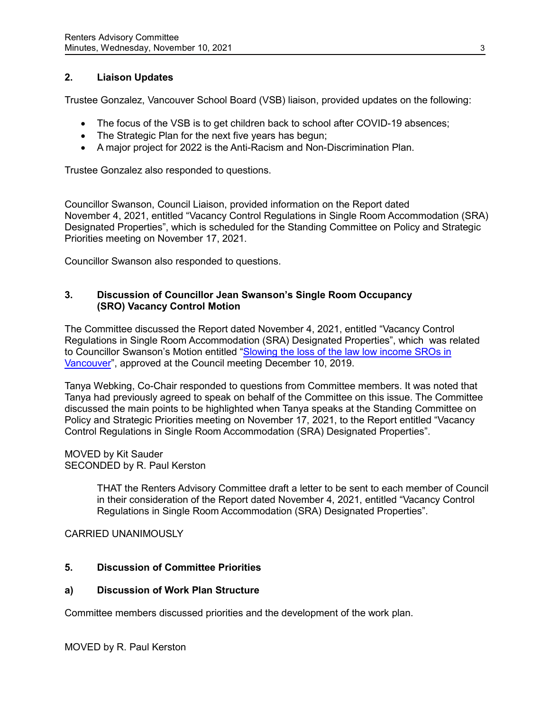# **2. Liaison Updates**

Trustee Gonzalez, Vancouver School Board (VSB) liaison, provided updates on the following:

- The focus of the VSB is to get children back to school after COVID-19 absences;
- The Strategic Plan for the next five years has begun;
- A major project for 2022 is the Anti-Racism and Non-Discrimination Plan.

Trustee Gonzalez also responded to questions.

Councillor Swanson, Council Liaison, provided information on the Report dated November 4, 2021, entitled "Vacancy Control Regulations in Single Room Accommodation (SRA) Designated Properties", which is scheduled for the Standing Committee on Policy and Strategic Priorities meeting on November 17, 2021.

Councillor Swanson also responded to questions.

# **3. Discussion of Councillor Jean Swanson's Single Room Occupancy (SRO) Vacancy Control Motion**

The Committee discussed the Report dated November 4, 2021, entitled "Vacancy Control Regulations in Single Room Accommodation (SRA) Designated Properties", which was related to Councillor Swanson's Motion entitled ["Slowing the loss of the law low income SROs in](https://council.vancouver.ca/20191210/documents/b2.pdf)  [Vancouver"](https://council.vancouver.ca/20191210/documents/b2.pdf), approved at the Council meeting December 10, 2019.

Tanya Webking, Co-Chair responded to questions from Committee members. It was noted that Tanya had previously agreed to speak on behalf of the Committee on this issue. The Committee discussed the main points to be highlighted when Tanya speaks at the Standing Committee on Policy and Strategic Priorities meeting on November 17, 2021, to the Report entitled "Vacancy Control Regulations in Single Room Accommodation (SRA) Designated Properties".

## MOVED by Kit Sauder SECONDED by R. Paul Kerston

THAT the Renters Advisory Committee draft a letter to be sent to each member of Council in their consideration of the Report dated November 4, 2021, entitled "Vacancy Control Regulations in Single Room Accommodation (SRA) Designated Properties".

CARRIED UNANIMOUSLY

# **5. Discussion of Committee Priorities**

## **a) Discussion of Work Plan Structure**

Committee members discussed priorities and the development of the work plan.

MOVED by R. Paul Kerston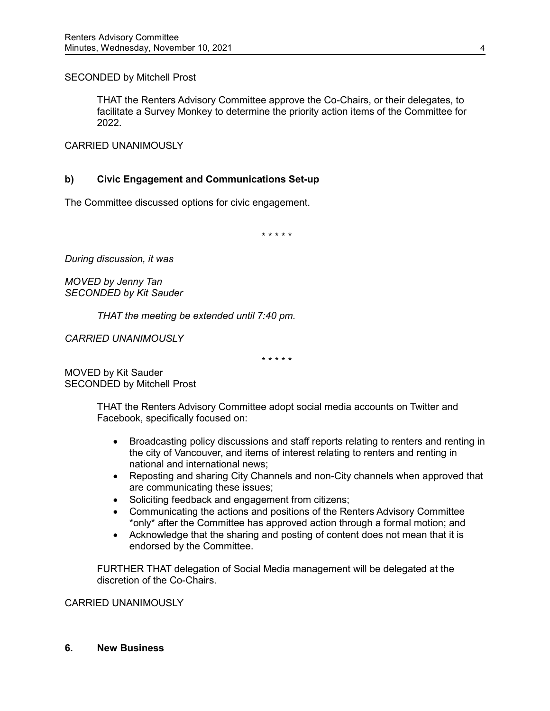SECONDED by Mitchell Prost

THAT the Renters Advisory Committee approve the Co-Chairs, or their delegates, to facilitate a Survey Monkey to determine the priority action items of the Committee for 2022.

CARRIED UNANIMOUSLY

# **b) Civic Engagement and Communications Set-up**

The Committee discussed options for civic engagement.

\* \* \* \* \*

*During discussion, it was*

*MOVED by Jenny Tan SECONDED by Kit Sauder*

*THAT the meeting be extended until 7:40 pm.*

*CARRIED UNANIMOUSLY*

\* \* \* \* \*

MOVED by Kit Sauder SECONDED by Mitchell Prost

> THAT the Renters Advisory Committee adopt social media accounts on Twitter and Facebook, specifically focused on:

- Broadcasting policy discussions and staff reports relating to renters and renting in the city of Vancouver, and items of interest relating to renters and renting in national and international news;
- Reposting and sharing City Channels and non-City channels when approved that are communicating these issues;
- Soliciting feedback and engagement from citizens;
- Communicating the actions and positions of the Renters Advisory Committee \*only\* after the Committee has approved action through a formal motion; and
- Acknowledge that the sharing and posting of content does not mean that it is endorsed by the Committee.

FURTHER THAT delegation of Social Media management will be delegated at the discretion of the Co-Chairs.

## CARRIED UNANIMOUSLY

#### **6. New Business**